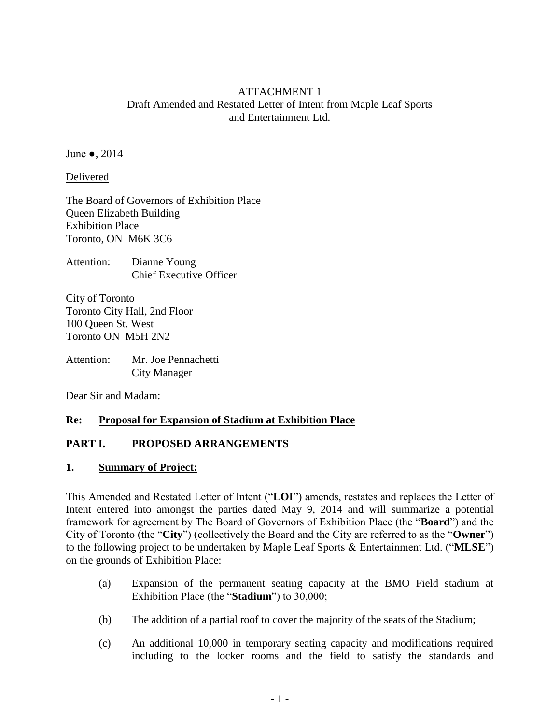### ATTACHMENT 1 Draft Amended and Restated Letter of Intent from Maple Leaf Sports and Entertainment Ltd.

June ●, 2014

Delivered

The Board of Governors of Exhibition Place Queen Elizabeth Building Exhibition Place Toronto, ON M6K 3C6

Attention: Dianne Young Chief Executive Officer

City of Toronto Toronto City Hall, 2nd Floor 100 Queen St. West Toronto ON M5H 2N2

Attention: Mr. Joe Pennachetti City Manager

Dear Sir and Madam:

#### **Re: Proposal for Expansion of Stadium at Exhibition Place**

# **PART I. PROPOSED ARRANGEMENTS**

#### **1. Summary of Project:**

This Amended and Restated Letter of Intent ("**LOI**") amends, restates and replaces the Letter of Intent entered into amongst the parties dated May 9, 2014 and will summarize a potential framework for agreement by The Board of Governors of Exhibition Place (the "**Board**") and the City of Toronto (the "**City**") (collectively the Board and the City are referred to as the "**Owner**") to the following project to be undertaken by Maple Leaf Sports & Entertainment Ltd. ("**MLSE**") on the grounds of Exhibition Place:

- <span id="page-0-0"></span>(a) Expansion of the permanent seating capacity at the BMO Field stadium at Exhibition Place (the "**Stadium**") to 30,000;
- (b) The addition of a partial roof to cover the majority of the seats of the Stadium;
- (c) An additional 10,000 in temporary seating capacity and modifications required including to the locker rooms and the field to satisfy the standards and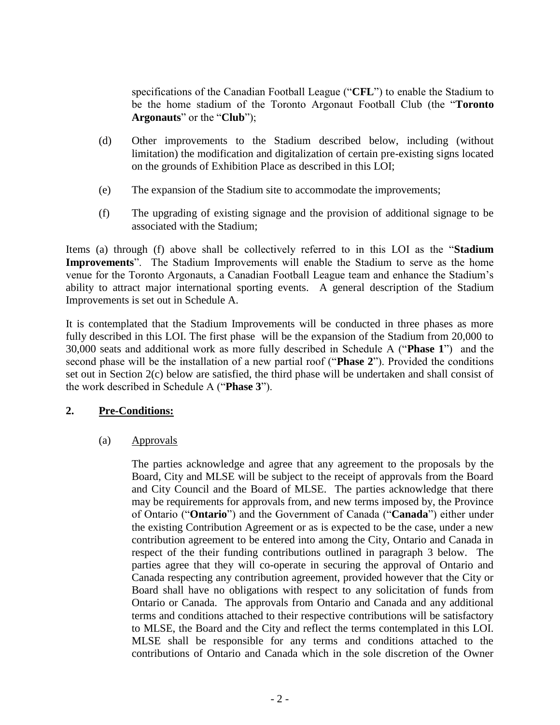specifications of the Canadian Football League ("**CFL**") to enable the Stadium to be the home stadium of the Toronto Argonaut Football Club (the "**Toronto Argonauts**" or the "**Club**");

- (d) Other improvements to the Stadium described below, including (without limitation) the modification and digitalization of certain pre-existing signs located on the grounds of Exhibition Place as described in this LOI;
- (e) The expansion of the Stadium site to accommodate the improvements;
- <span id="page-1-0"></span>(f) The upgrading of existing signage and the provision of additional signage to be associated with the Stadium;

Items [\(a\)](#page-0-0) through [\(f\)](#page-1-0) above shall be collectively referred to in this LOI as the "**Stadium Improvements**". The Stadium Improvements will enable the Stadium to serve as the home venue for the Toronto Argonauts, a Canadian Football League team and enhance the Stadium's ability to attract major international sporting events. A general description of the Stadium Improvements is set out in Schedule A.

It is contemplated that the Stadium Improvements will be conducted in three phases as more fully described in this LOI. The first phase will be the expansion of the Stadium from 20,000 to 30,000 seats and additional work as more fully described in Schedule A ("**Phase 1**") and the second phase will be the installation of a new partial roof ("**Phase 2**"). Provided the conditions set out in Section [2\(c\)](#page-3-0) below are satisfied, the third phase will be undertaken and shall consist of the work described in Schedule A ("**Phase 3**").

# **2. Pre-Conditions:**

(a) Approvals

The parties acknowledge and agree that any agreement to the proposals by the Board, City and MLSE will be subject to the receipt of approvals from the Board and City Council and the Board of MLSE. The parties acknowledge that there may be requirements for approvals from, and new terms imposed by, the Province of Ontario ("**Ontario**") and the Government of Canada ("**Canada**") either under the existing Contribution Agreement or as is expected to be the case, under a new contribution agreement to be entered into among the City, Ontario and Canada in respect of the their funding contributions outlined in paragraph 3 below. The parties agree that they will co-operate in securing the approval of Ontario and Canada respecting any contribution agreement, provided however that the City or Board shall have no obligations with respect to any solicitation of funds from Ontario or Canada. The approvals from Ontario and Canada and any additional terms and conditions attached to their respective contributions will be satisfactory to MLSE, the Board and the City and reflect the terms contemplated in this LOI. MLSE shall be responsible for any terms and conditions attached to the contributions of Ontario and Canada which in the sole discretion of the Owner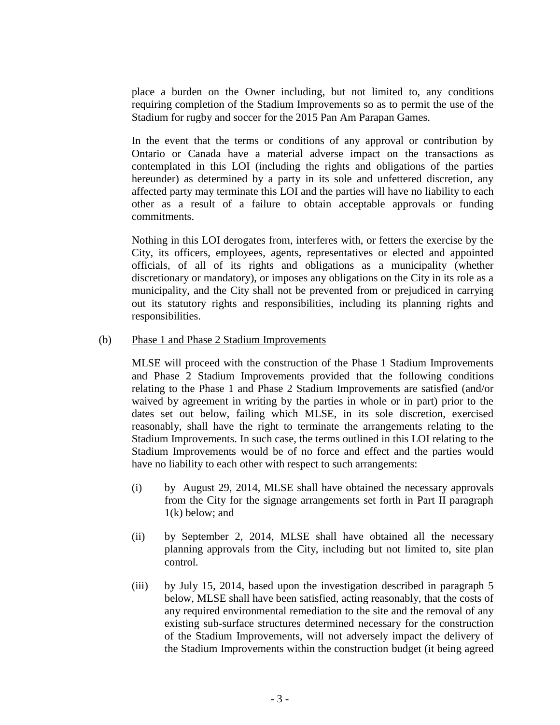place a burden on the Owner including, but not limited to, any conditions requiring completion of the Stadium Improvements so as to permit the use of the Stadium for rugby and soccer for the 2015 Pan Am Parapan Games.

In the event that the terms or conditions of any approval or contribution by Ontario or Canada have a material adverse impact on the transactions as contemplated in this LOI (including the rights and obligations of the parties hereunder) as determined by a party in its sole and unfettered discretion, any affected party may terminate this LOI and the parties will have no liability to each other as a result of a failure to obtain acceptable approvals or funding commitments.

Nothing in this LOI derogates from, interferes with, or fetters the exercise by the City, its officers, employees, agents, representatives or elected and appointed officials, of all of its rights and obligations as a municipality (whether discretionary or mandatory), or imposes any obligations on the City in its role as a municipality, and the City shall not be prevented from or prejudiced in carrying out its statutory rights and responsibilities, including its planning rights and responsibilities.

#### (b) Phase 1 and Phase 2 Stadium Improvements

MLSE will proceed with the construction of the Phase 1 Stadium Improvements and Phase 2 Stadium Improvements provided that the following conditions relating to the Phase 1 and Phase 2 Stadium Improvements are satisfied (and/or waived by agreement in writing by the parties in whole or in part) prior to the dates set out below, failing which MLSE, in its sole discretion, exercised reasonably, shall have the right to terminate the arrangements relating to the Stadium Improvements. In such case, the terms outlined in this LOI relating to the Stadium Improvements would be of no force and effect and the parties would have no liability to each other with respect to such arrangements:

- (i) by August 29, 2014, MLSE shall have obtained the necessary approvals from the City for the signage arrangements set forth in Part II paragraph 1(k) below; and
- (ii) by September 2, 2014, MLSE shall have obtained all the necessary planning approvals from the City, including but not limited to, site plan control.
- (iii) by July 15, 2014, based upon the investigation described in paragraph 5 below, MLSE shall have been satisfied, acting reasonably, that the costs of any required environmental remediation to the site and the removal of any existing sub-surface structures determined necessary for the construction of the Stadium Improvements, will not adversely impact the delivery of the Stadium Improvements within the construction budget (it being agreed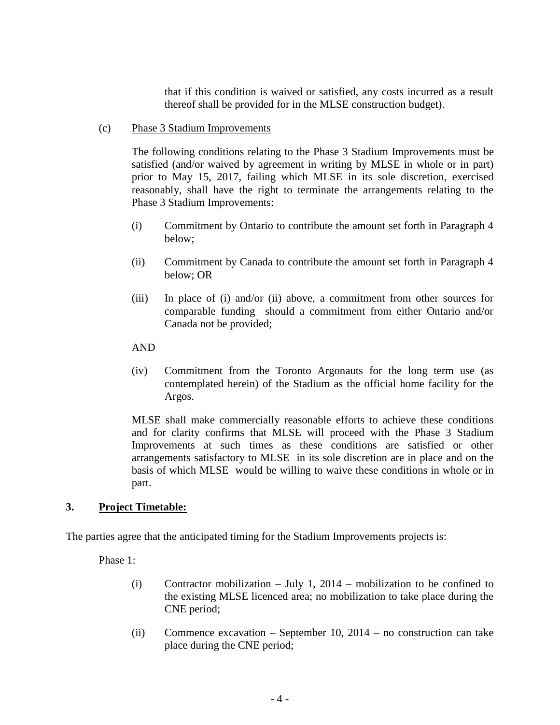that if this condition is waived or satisfied, any costs incurred as a result thereof shall be provided for in the MLSE construction budget).

<span id="page-3-0"></span>(c) Phase 3 Stadium Improvements

The following conditions relating to the Phase 3 Stadium Improvements must be satisfied (and/or waived by agreement in writing by MLSE in whole or in part) prior to May 15, 2017, failing which MLSE in its sole discretion, exercised reasonably, shall have the right to terminate the arrangements relating to the Phase 3 Stadium Improvements:

- (i) Commitment by Ontario to contribute the amount set forth in Paragraph 4 below;
- (ii) Commitment by Canada to contribute the amount set forth in Paragraph 4 below; OR
- (iii) In place of (i) and/or (ii) above, a commitment from other sources for comparable funding should a commitment from either Ontario and/or Canada not be provided;
- AND
- (iv) Commitment from the Toronto Argonauts for the long term use (as contemplated herein) of the Stadium as the official home facility for the Argos.

MLSE shall make commercially reasonable efforts to achieve these conditions and for clarity confirms that MLSE will proceed with the Phase 3 Stadium Improvements at such times as these conditions are satisfied or other arrangements satisfactory to MLSE in its sole discretion are in place and on the basis of which MLSE would be willing to waive these conditions in whole or in part.

#### **3. Project Timetable:**

The parties agree that the anticipated timing for the Stadium Improvements projects is:

Phase 1:

- (i) Contractor mobilization July 1, 2014 mobilization to be confined to the existing MLSE licenced area; no mobilization to take place during the CNE period;
- (ii) Commence excavation September 10, 2014 no construction can take place during the CNE period;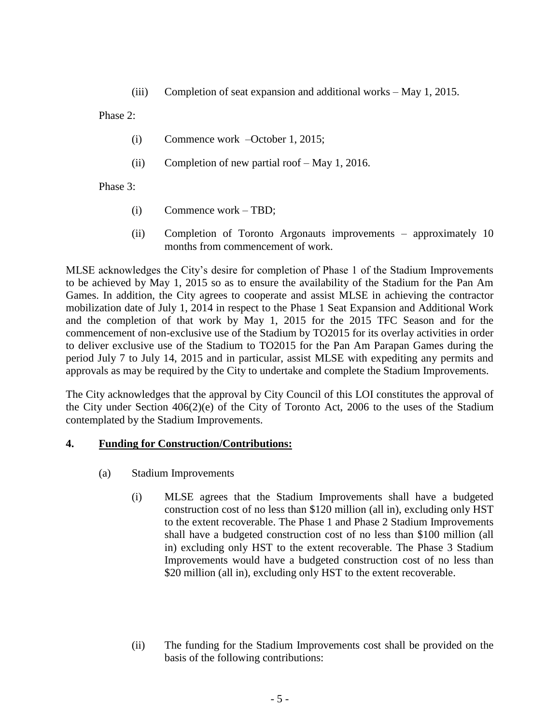(iii) Completion of seat expansion and additional works – May 1, 2015.

Phase 2:

- (i) Commence work –October 1, 2015;
- (ii) Completion of new partial roof May 1, 2016.

Phase 3:

- (i) Commence work TBD;
- (ii) Completion of Toronto Argonauts improvements approximately 10 months from commencement of work.

MLSE acknowledges the City's desire for completion of Phase 1 of the Stadium Improvements to be achieved by May 1, 2015 so as to ensure the availability of the Stadium for the Pan Am Games. In addition, the City agrees to cooperate and assist MLSE in achieving the contractor mobilization date of July 1, 2014 in respect to the Phase 1 Seat Expansion and Additional Work and the completion of that work by May 1, 2015 for the 2015 TFC Season and for the commencement of non-exclusive use of the Stadium by TO2015 for its overlay activities in order to deliver exclusive use of the Stadium to TO2015 for the Pan Am Parapan Games during the period July 7 to July 14, 2015 and in particular, assist MLSE with expediting any permits and approvals as may be required by the City to undertake and complete the Stadium Improvements.

The City acknowledges that the approval by City Council of this LOI constitutes the approval of the City under Section 406(2)(e) of the City of Toronto Act, 2006 to the uses of the Stadium contemplated by the Stadium Improvements.

# **4. Funding for Construction/Contributions:**

- (a) Stadium Improvements
	- (i) MLSE agrees that the Stadium Improvements shall have a budgeted construction cost of no less than \$120 million (all in), excluding only HST to the extent recoverable. The Phase 1 and Phase 2 Stadium Improvements shall have a budgeted construction cost of no less than \$100 million (all in) excluding only HST to the extent recoverable. The Phase 3 Stadium Improvements would have a budgeted construction cost of no less than \$20 million (all in), excluding only HST to the extent recoverable.
	- (ii) The funding for the Stadium Improvements cost shall be provided on the basis of the following contributions: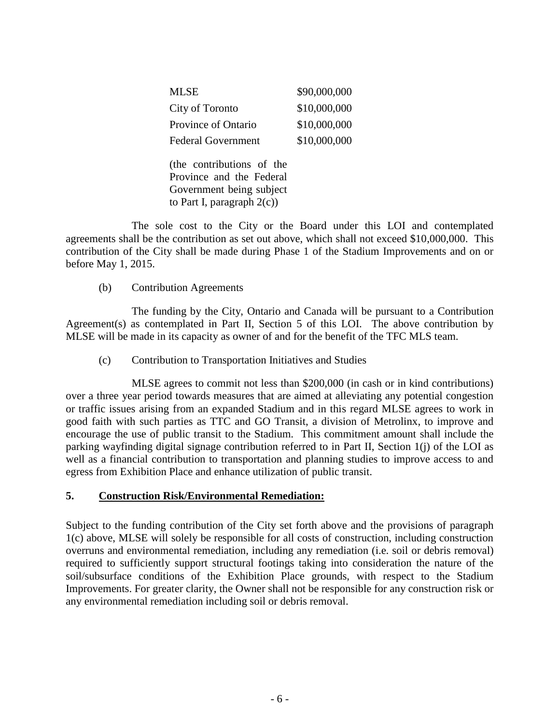| <b>MLSE</b>                                                                                                        | \$90,000,000 |
|--------------------------------------------------------------------------------------------------------------------|--------------|
| City of Toronto                                                                                                    | \$10,000,000 |
| Province of Ontario                                                                                                | \$10,000,000 |
| <b>Federal Government</b>                                                                                          | \$10,000,000 |
| (the contributions of the<br>Province and the Federal<br>Government being subject<br>to Part I, paragraph $2(c)$ ) |              |

The sole cost to the City or the Board under this LOI and contemplated agreements shall be the contribution as set out above, which shall not exceed \$10,000,000. This contribution of the City shall be made during Phase 1 of the Stadium Improvements and on or before May 1, 2015.

(b) Contribution Agreements

The funding by the City, Ontario and Canada will be pursuant to a Contribution Agreement(s) as contemplated in Part II, Section 5 of this LOI. The above contribution by MLSE will be made in its capacity as owner of and for the benefit of the TFC MLS team.

(c) Contribution to Transportation Initiatives and Studies

MLSE agrees to commit not less than \$200,000 (in cash or in kind contributions) over a three year period towards measures that are aimed at alleviating any potential congestion or traffic issues arising from an expanded Stadium and in this regard MLSE agrees to work in good faith with such parties as TTC and GO Transit, a division of Metrolinx, to improve and encourage the use of public transit to the Stadium. This commitment amount shall include the parking wayfinding digital signage contribution referred to in Part II, Section 1(j) of the LOI as well as a financial contribution to transportation and planning studies to improve access to and egress from Exhibition Place and enhance utilization of public transit.

# **5. Construction Risk/Environmental Remediation:**

Subject to the funding contribution of the City set forth above and the provisions of paragraph 1(c) above, MLSE will solely be responsible for all costs of construction, including construction overruns and environmental remediation, including any remediation (i.e. soil or debris removal) required to sufficiently support structural footings taking into consideration the nature of the soil/subsurface conditions of the Exhibition Place grounds, with respect to the Stadium Improvements. For greater clarity, the Owner shall not be responsible for any construction risk or any environmental remediation including soil or debris removal.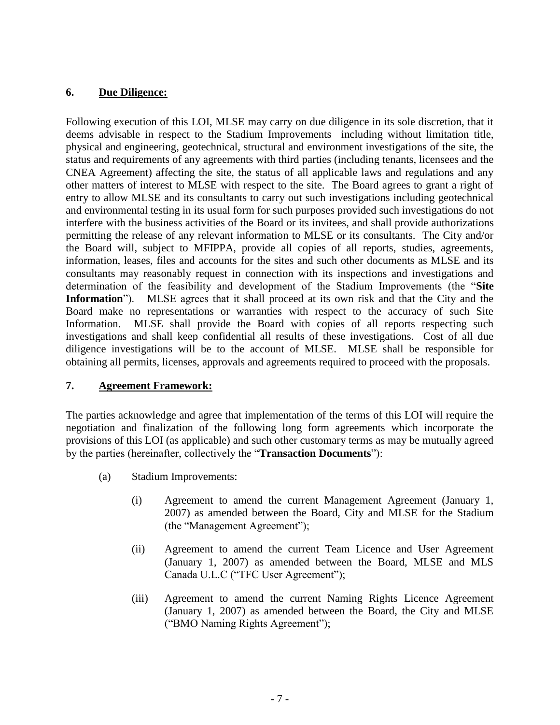### **6. Due Diligence:**

Following execution of this LOI, MLSE may carry on due diligence in its sole discretion, that it deems advisable in respect to the Stadium Improvements including without limitation title, physical and engineering, geotechnical, structural and environment investigations of the site, the status and requirements of any agreements with third parties (including tenants, licensees and the CNEA Agreement) affecting the site, the status of all applicable laws and regulations and any other matters of interest to MLSE with respect to the site. The Board agrees to grant a right of entry to allow MLSE and its consultants to carry out such investigations including geotechnical and environmental testing in its usual form for such purposes provided such investigations do not interfere with the business activities of the Board or its invitees, and shall provide authorizations permitting the release of any relevant information to MLSE or its consultants. The City and/or the Board will, subject to MFIPPA, provide all copies of all reports, studies, agreements, information, leases, files and accounts for the sites and such other documents as MLSE and its consultants may reasonably request in connection with its inspections and investigations and determination of the feasibility and development of the Stadium Improvements (the "**Site Information**"). MLSE agrees that it shall proceed at its own risk and that the City and the Board make no representations or warranties with respect to the accuracy of such Site Information. MLSE shall provide the Board with copies of all reports respecting such investigations and shall keep confidential all results of these investigations. Cost of all due diligence investigations will be to the account of MLSE. MLSE shall be responsible for obtaining all permits, licenses, approvals and agreements required to proceed with the proposals.

#### **7. Agreement Framework:**

The parties acknowledge and agree that implementation of the terms of this LOI will require the negotiation and finalization of the following long form agreements which incorporate the provisions of this LOI (as applicable) and such other customary terms as may be mutually agreed by the parties (hereinafter, collectively the "**Transaction Documents**"):

- (a) Stadium Improvements:
	- (i) Agreement to amend the current Management Agreement (January 1, 2007) as amended between the Board, City and MLSE for the Stadium (the "Management Agreement");
	- (ii) Agreement to amend the current Team Licence and User Agreement (January 1, 2007) as amended between the Board, MLSE and MLS Canada U.L.C ("TFC User Agreement");
	- (iii) Agreement to amend the current Naming Rights Licence Agreement (January 1, 2007) as amended between the Board, the City and MLSE ("BMO Naming Rights Agreement");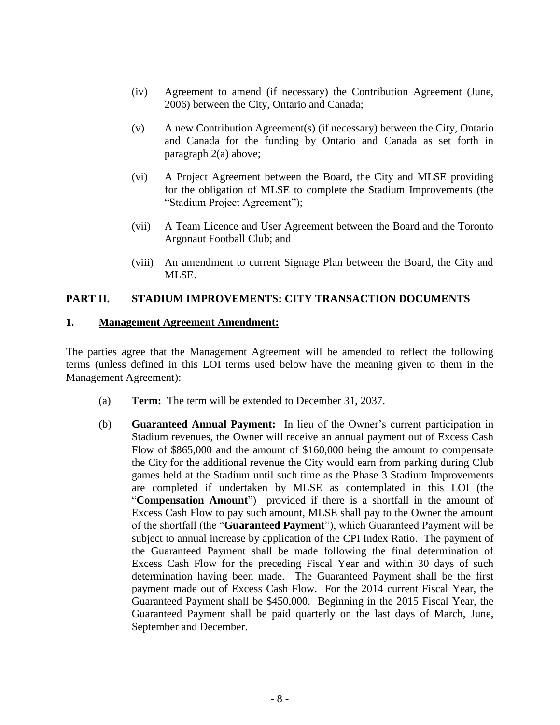- (iv) Agreement to amend (if necessary) the Contribution Agreement (June, 2006) between the City, Ontario and Canada;
- (v) A new Contribution Agreement(s) (if necessary) between the City, Ontario and Canada for the funding by Ontario and Canada as set forth in paragraph 2(a) above;
- (vi) A Project Agreement between the Board, the City and MLSE providing for the obligation of MLSE to complete the Stadium Improvements (the "Stadium Project Agreement");
- (vii) A Team Licence and User Agreement between the Board and the Toronto Argonaut Football Club; and
- (viii) An amendment to current Signage Plan between the Board, the City and MLSE.

### **PART II. STADIUM IMPROVEMENTS: CITY TRANSACTION DOCUMENTS**

#### **1. Management Agreement Amendment:**

The parties agree that the Management Agreement will be amended to reflect the following terms (unless defined in this LOI terms used below have the meaning given to them in the Management Agreement):

- (a) **Term:** The term will be extended to December 31, 2037.
- (b) **Guaranteed Annual Payment:** In lieu of the Owner's current participation in Stadium revenues, the Owner will receive an annual payment out of Excess Cash Flow of \$865,000 and the amount of \$160,000 being the amount to compensate the City for the additional revenue the City would earn from parking during Club games held at the Stadium until such time as the Phase 3 Stadium Improvements are completed if undertaken by MLSE as contemplated in this LOI (the "**Compensation Amount**") provided if there is a shortfall in the amount of Excess Cash Flow to pay such amount, MLSE shall pay to the Owner the amount of the shortfall (the "**Guaranteed Payment**"), which Guaranteed Payment will be subject to annual increase by application of the CPI Index Ratio. The payment of the Guaranteed Payment shall be made following the final determination of Excess Cash Flow for the preceding Fiscal Year and within 30 days of such determination having been made. The Guaranteed Payment shall be the first payment made out of Excess Cash Flow. For the 2014 current Fiscal Year, the Guaranteed Payment shall be \$450,000. Beginning in the 2015 Fiscal Year, the Guaranteed Payment shall be paid quarterly on the last days of March, June, September and December.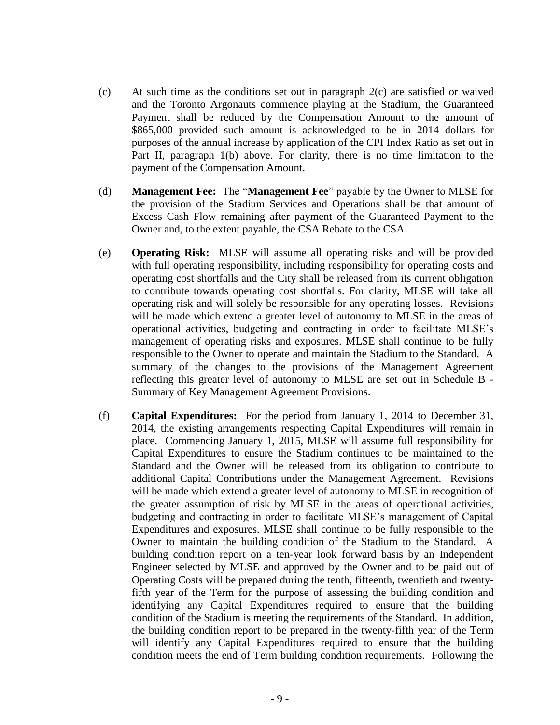- (c) At such time as the conditions set out in paragraph 2(c) are satisfied or waived and the Toronto Argonauts commence playing at the Stadium, the Guaranteed Payment shall be reduced by the Compensation Amount to the amount of \$865,000 provided such amount is acknowledged to be in 2014 dollars for purposes of the annual increase by application of the CPI Index Ratio as set out in Part II, paragraph 1(b) above. For clarity, there is no time limitation to the payment of the Compensation Amount.
- (d) **Management Fee:** The "**Management Fee**" payable by the Owner to MLSE for the provision of the Stadium Services and Operations shall be that amount of Excess Cash Flow remaining after payment of the Guaranteed Payment to the Owner and, to the extent payable, the CSA Rebate to the CSA.
- (e) **Operating Risk:** MLSE will assume all operating risks and will be provided with full operating responsibility, including responsibility for operating costs and operating cost shortfalls and the City shall be released from its current obligation to contribute towards operating cost shortfalls. For clarity, MLSE will take all operating risk and will solely be responsible for any operating losses. Revisions will be made which extend a greater level of autonomy to MLSE in the areas of operational activities, budgeting and contracting in order to facilitate MLSE's management of operating risks and exposures. MLSE shall continue to be fully responsible to the Owner to operate and maintain the Stadium to the Standard. A summary of the changes to the provisions of the Management Agreement reflecting this greater level of autonomy to MLSE are set out in Schedule B - Summary of Key Management Agreement Provisions.
- (f) **Capital Expenditures:** For the period from January 1, 2014 to December 31, 2014, the existing arrangements respecting Capital Expenditures will remain in place. Commencing January 1, 2015, MLSE will assume full responsibility for Capital Expenditures to ensure the Stadium continues to be maintained to the Standard and the Owner will be released from its obligation to contribute to additional Capital Contributions under the Management Agreement. Revisions will be made which extend a greater level of autonomy to MLSE in recognition of the greater assumption of risk by MLSE in the areas of operational activities, budgeting and contracting in order to facilitate MLSE's management of Capital Expenditures and exposures. MLSE shall continue to be fully responsible to the Owner to maintain the building condition of the Stadium to the Standard. A building condition report on a ten-year look forward basis by an Independent Engineer selected by MLSE and approved by the Owner and to be paid out of Operating Costs will be prepared during the tenth, fifteenth, twentieth and twentyfifth year of the Term for the purpose of assessing the building condition and identifying any Capital Expenditures required to ensure that the building condition of the Stadium is meeting the requirements of the Standard. In addition, the building condition report to be prepared in the twenty-fifth year of the Term will identify any Capital Expenditures required to ensure that the building condition meets the end of Term building condition requirements. Following the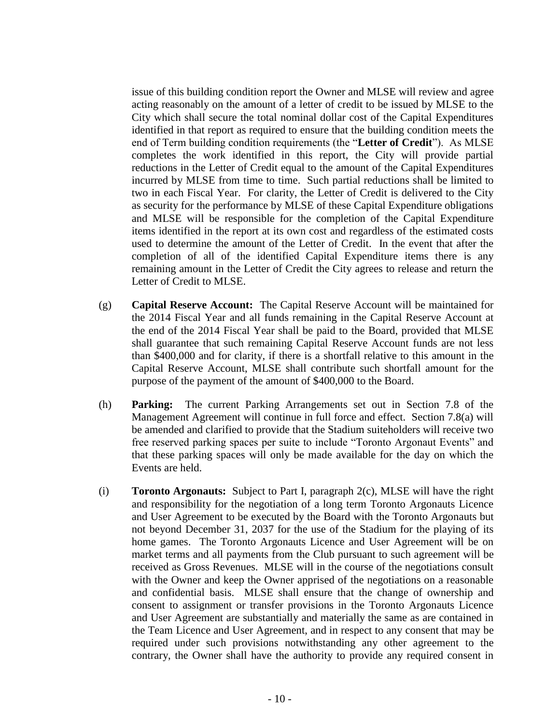issue of this building condition report the Owner and MLSE will review and agree acting reasonably on the amount of a letter of credit to be issued by MLSE to the City which shall secure the total nominal dollar cost of the Capital Expenditures identified in that report as required to ensure that the building condition meets the end of Term building condition requirements (the "**Letter of Credit**"). As MLSE completes the work identified in this report, the City will provide partial reductions in the Letter of Credit equal to the amount of the Capital Expenditures incurred by MLSE from time to time. Such partial reductions shall be limited to two in each Fiscal Year. For clarity, the Letter of Credit is delivered to the City as security for the performance by MLSE of these Capital Expenditure obligations and MLSE will be responsible for the completion of the Capital Expenditure items identified in the report at its own cost and regardless of the estimated costs used to determine the amount of the Letter of Credit. In the event that after the completion of all of the identified Capital Expenditure items there is any remaining amount in the Letter of Credit the City agrees to release and return the Letter of Credit to MLSE.

- (g) **Capital Reserve Account:** The Capital Reserve Account will be maintained for the 2014 Fiscal Year and all funds remaining in the Capital Reserve Account at the end of the 2014 Fiscal Year shall be paid to the Board, provided that MLSE shall guarantee that such remaining Capital Reserve Account funds are not less than \$400,000 and for clarity, if there is a shortfall relative to this amount in the Capital Reserve Account, MLSE shall contribute such shortfall amount for the purpose of the payment of the amount of \$400,000 to the Board.
- (h) **Parking:** The current Parking Arrangements set out in Section 7.8 of the Management Agreement will continue in full force and effect. Section 7.8(a) will be amended and clarified to provide that the Stadium suiteholders will receive two free reserved parking spaces per suite to include "Toronto Argonaut Events" and that these parking spaces will only be made available for the day on which the Events are held.
- (i) **Toronto Argonauts:** Subject to Part I, paragraph 2(c), MLSE will have the right and responsibility for the negotiation of a long term Toronto Argonauts Licence and User Agreement to be executed by the Board with the Toronto Argonauts but not beyond December 31, 2037 for the use of the Stadium for the playing of its home games. The Toronto Argonauts Licence and User Agreement will be on market terms and all payments from the Club pursuant to such agreement will be received as Gross Revenues. MLSE will in the course of the negotiations consult with the Owner and keep the Owner apprised of the negotiations on a reasonable and confidential basis. MLSE shall ensure that the change of ownership and consent to assignment or transfer provisions in the Toronto Argonauts Licence and User Agreement are substantially and materially the same as are contained in the Team Licence and User Agreement, and in respect to any consent that may be required under such provisions notwithstanding any other agreement to the contrary, the Owner shall have the authority to provide any required consent in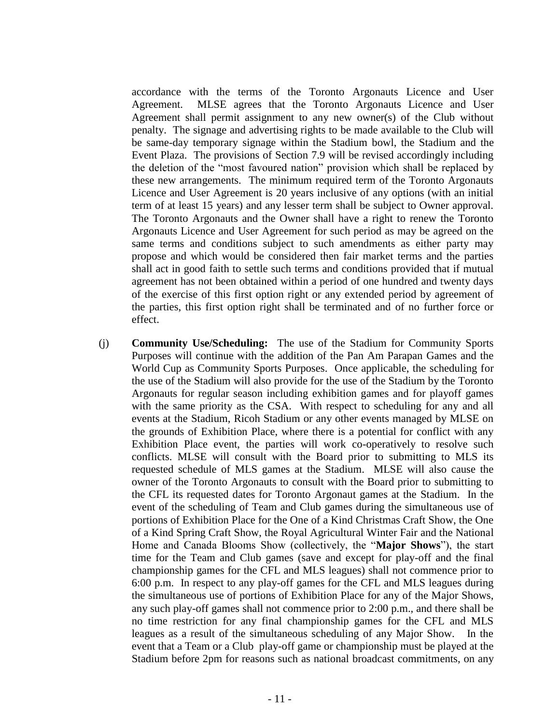accordance with the terms of the Toronto Argonauts Licence and User Agreement. MLSE agrees that the Toronto Argonauts Licence and User Agreement shall permit assignment to any new owner(s) of the Club without penalty. The signage and advertising rights to be made available to the Club will be same-day temporary signage within the Stadium bowl, the Stadium and the Event Plaza. The provisions of Section 7.9 will be revised accordingly including the deletion of the "most favoured nation" provision which shall be replaced by these new arrangements. The minimum required term of the Toronto Argonauts Licence and User Agreement is 20 years inclusive of any options (with an initial term of at least 15 years) and any lesser term shall be subject to Owner approval. The Toronto Argonauts and the Owner shall have a right to renew the Toronto Argonauts Licence and User Agreement for such period as may be agreed on the same terms and conditions subject to such amendments as either party may propose and which would be considered then fair market terms and the parties shall act in good faith to settle such terms and conditions provided that if mutual agreement has not been obtained within a period of one hundred and twenty days of the exercise of this first option right or any extended period by agreement of the parties, this first option right shall be terminated and of no further force or effect.

(j) **Community Use/Scheduling:** The use of the Stadium for Community Sports Purposes will continue with the addition of the Pan Am Parapan Games and the World Cup as Community Sports Purposes. Once applicable, the scheduling for the use of the Stadium will also provide for the use of the Stadium by the Toronto Argonauts for regular season including exhibition games and for playoff games with the same priority as the CSA. With respect to scheduling for any and all events at the Stadium, Ricoh Stadium or any other events managed by MLSE on the grounds of Exhibition Place, where there is a potential for conflict with any Exhibition Place event, the parties will work co-operatively to resolve such conflicts. MLSE will consult with the Board prior to submitting to MLS its requested schedule of MLS games at the Stadium. MLSE will also cause the owner of the Toronto Argonauts to consult with the Board prior to submitting to the CFL its requested dates for Toronto Argonaut games at the Stadium. In the event of the scheduling of Team and Club games during the simultaneous use of portions of Exhibition Place for the One of a Kind Christmas Craft Show, the One of a Kind Spring Craft Show, the Royal Agricultural Winter Fair and the National Home and Canada Blooms Show (collectively, the "**Major Shows**"), the start time for the Team and Club games (save and except for play-off and the final championship games for the CFL and MLS leagues) shall not commence prior to 6:00 p.m. In respect to any play-off games for the CFL and MLS leagues during the simultaneous use of portions of Exhibition Place for any of the Major Shows, any such play-off games shall not commence prior to 2:00 p.m., and there shall be no time restriction for any final championship games for the CFL and MLS leagues as a result of the simultaneous scheduling of any Major Show. In the event that a Team or a Club play-off game or championship must be played at the Stadium before 2pm for reasons such as national broadcast commitments, on any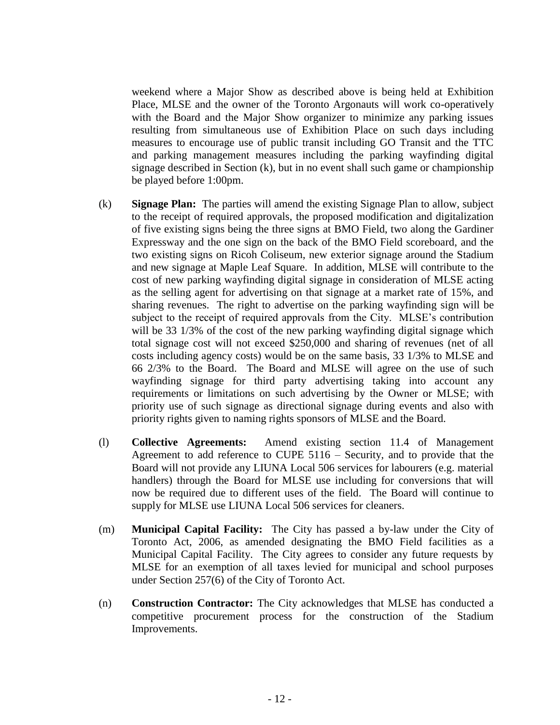weekend where a Major Show as described above is being held at Exhibition Place, MLSE and the owner of the Toronto Argonauts will work co-operatively with the Board and the Major Show organizer to minimize any parking issues resulting from simultaneous use of Exhibition Place on such days including measures to encourage use of public transit including GO Transit and the TTC and parking management measures including the parking wayfinding digital signage described in Section (k), but in no event shall such game or championship be played before 1:00pm.

- (k) **Signage Plan:** The parties will amend the existing Signage Plan to allow, subject to the receipt of required approvals, the proposed modification and digitalization of five existing signs being the three signs at BMO Field, two along the Gardiner Expressway and the one sign on the back of the BMO Field scoreboard, and the two existing signs on Ricoh Coliseum, new exterior signage around the Stadium and new signage at Maple Leaf Square. In addition, MLSE will contribute to the cost of new parking wayfinding digital signage in consideration of MLSE acting as the selling agent for advertising on that signage at a market rate of 15%, and sharing revenues. The right to advertise on the parking wayfinding sign will be subject to the receipt of required approvals from the City. MLSE's contribution will be 33 1/3% of the cost of the new parking wayfinding digital signage which total signage cost will not exceed \$250,000 and sharing of revenues (net of all costs including agency costs) would be on the same basis, 33 1/3% to MLSE and 66 2/3% to the Board. The Board and MLSE will agree on the use of such wayfinding signage for third party advertising taking into account any requirements or limitations on such advertising by the Owner or MLSE; with priority use of such signage as directional signage during events and also with priority rights given to naming rights sponsors of MLSE and the Board.
- (l) **Collective Agreements:** Amend existing section 11.4 of Management Agreement to add reference to CUPE 5116 – Security, and to provide that the Board will not provide any LIUNA Local 506 services for labourers (e.g. material handlers) through the Board for MLSE use including for conversions that will now be required due to different uses of the field. The Board will continue to supply for MLSE use LIUNA Local 506 services for cleaners.
- (m) **Municipal Capital Facility:** The City has passed a by-law under the City of Toronto Act, 2006, as amended designating the BMO Field facilities as a Municipal Capital Facility. The City agrees to consider any future requests by MLSE for an exemption of all taxes levied for municipal and school purposes under Section 257(6) of the City of Toronto Act.
- (n) **Construction Contractor:** The City acknowledges that MLSE has conducted a competitive procurement process for the construction of the Stadium Improvements.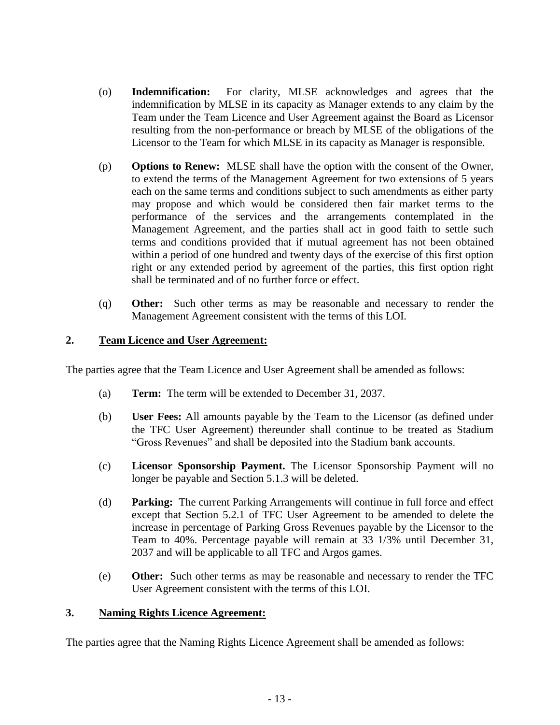- (o) **Indemnification:** For clarity, MLSE acknowledges and agrees that the indemnification by MLSE in its capacity as Manager extends to any claim by the Team under the Team Licence and User Agreement against the Board as Licensor resulting from the non-performance or breach by MLSE of the obligations of the Licensor to the Team for which MLSE in its capacity as Manager is responsible.
- (p) **Options to Renew:** MLSE shall have the option with the consent of the Owner, to extend the terms of the Management Agreement for two extensions of 5 years each on the same terms and conditions subject to such amendments as either party may propose and which would be considered then fair market terms to the performance of the services and the arrangements contemplated in the Management Agreement, and the parties shall act in good faith to settle such terms and conditions provided that if mutual agreement has not been obtained within a period of one hundred and twenty days of the exercise of this first option right or any extended period by agreement of the parties, this first option right shall be terminated and of no further force or effect.
- (q) **Other:** Such other terms as may be reasonable and necessary to render the Management Agreement consistent with the terms of this LOI.

# **2. Team Licence and User Agreement:**

The parties agree that the Team Licence and User Agreement shall be amended as follows:

- (a) **Term:** The term will be extended to December 31, 2037.
- (b) **User Fees:** All amounts payable by the Team to the Licensor (as defined under the TFC User Agreement) thereunder shall continue to be treated as Stadium "Gross Revenues" and shall be deposited into the Stadium bank accounts.
- (c) **Licensor Sponsorship Payment.** The Licensor Sponsorship Payment will no longer be payable and Section 5.1.3 will be deleted.
- (d) **Parking:** The current Parking Arrangements will continue in full force and effect except that Section 5.2.1 of TFC User Agreement to be amended to delete the increase in percentage of Parking Gross Revenues payable by the Licensor to the Team to 40%. Percentage payable will remain at 33 1/3% until December 31, 2037 and will be applicable to all TFC and Argos games.
- (e) **Other:** Such other terms as may be reasonable and necessary to render the TFC User Agreement consistent with the terms of this LOI.

#### **3. Naming Rights Licence Agreement:**

The parties agree that the Naming Rights Licence Agreement shall be amended as follows: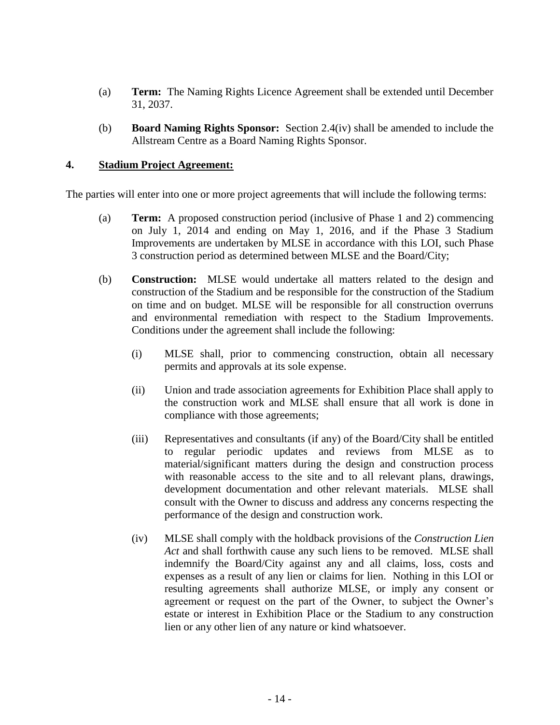- (a) **Term:** The Naming Rights Licence Agreement shall be extended until December 31, 2037.
- (b) **Board Naming Rights Sponsor:** Section 2.4(iv) shall be amended to include the Allstream Centre as a Board Naming Rights Sponsor.

### **4. Stadium Project Agreement:**

The parties will enter into one or more project agreements that will include the following terms:

- (a) **Term:** A proposed construction period (inclusive of Phase 1 and 2) commencing on July 1, 2014 and ending on May 1, 2016, and if the Phase 3 Stadium Improvements are undertaken by MLSE in accordance with this LOI, such Phase 3 construction period as determined between MLSE and the Board/City;
- (b) **Construction:** MLSE would undertake all matters related to the design and construction of the Stadium and be responsible for the construction of the Stadium on time and on budget. MLSE will be responsible for all construction overruns and environmental remediation with respect to the Stadium Improvements. Conditions under the agreement shall include the following:
	- (i) MLSE shall, prior to commencing construction, obtain all necessary permits and approvals at its sole expense.
	- (ii) Union and trade association agreements for Exhibition Place shall apply to the construction work and MLSE shall ensure that all work is done in compliance with those agreements;
	- (iii) Representatives and consultants (if any) of the Board/City shall be entitled to regular periodic updates and reviews from MLSE as to material/significant matters during the design and construction process with reasonable access to the site and to all relevant plans, drawings, development documentation and other relevant materials. MLSE shall consult with the Owner to discuss and address any concerns respecting the performance of the design and construction work.
	- (iv) MLSE shall comply with the holdback provisions of the *Construction Lien Act* and shall forthwith cause any such liens to be removed. MLSE shall indemnify the Board/City against any and all claims, loss, costs and expenses as a result of any lien or claims for lien. Nothing in this LOI or resulting agreements shall authorize MLSE, or imply any consent or agreement or request on the part of the Owner, to subject the Owner's estate or interest in Exhibition Place or the Stadium to any construction lien or any other lien of any nature or kind whatsoever.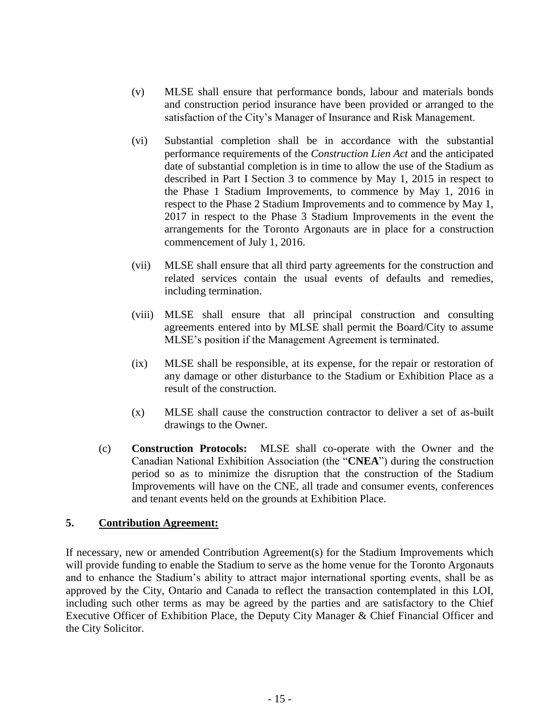- (v) MLSE shall ensure that performance bonds, labour and materials bonds and construction period insurance have been provided or arranged to the satisfaction of the City's Manager of Insurance and Risk Management.
- (vi) Substantial completion shall be in accordance with the substantial performance requirements of the *Construction Lien Act* and the anticipated date of substantial completion is in time to allow the use of the Stadium as described in Part I Section 3 to commence by May 1, 2015 in respect to the Phase 1 Stadium Improvements, to commence by May 1, 2016 in respect to the Phase 2 Stadium Improvements and to commence by May 1, 2017 in respect to the Phase 3 Stadium Improvements in the event the arrangements for the Toronto Argonauts are in place for a construction commencement of July 1, 2016.
- (vii) MLSE shall ensure that all third party agreements for the construction and related services contain the usual events of defaults and remedies, including termination.
- (viii) MLSE shall ensure that all principal construction and consulting agreements entered into by MLSE shall permit the Board/City to assume MLSE's position if the Management Agreement is terminated.
- (ix) MLSE shall be responsible, at its expense, for the repair or restoration of any damage or other disturbance to the Stadium or Exhibition Place as a result of the construction.
- (x) MLSE shall cause the construction contractor to deliver a set of as-built drawings to the Owner.
- (c) **Construction Protocols:** MLSE shall co-operate with the Owner and the Canadian National Exhibition Association (the "**CNEA**") during the construction period so as to minimize the disruption that the construction of the Stadium Improvements will have on the CNE, all trade and consumer events, conferences and tenant events held on the grounds at Exhibition Place.

# **5. Contribution Agreement:**

If necessary, new or amended Contribution Agreement(s) for the Stadium Improvements which will provide funding to enable the Stadium to serve as the home venue for the Toronto Argonauts and to enhance the Stadium's ability to attract major international sporting events, shall be as approved by the City, Ontario and Canada to reflect the transaction contemplated in this LOI, including such other terms as may be agreed by the parties and are satisfactory to the Chief Executive Officer of Exhibition Place, the Deputy City Manager & Chief Financial Officer and the City Solicitor.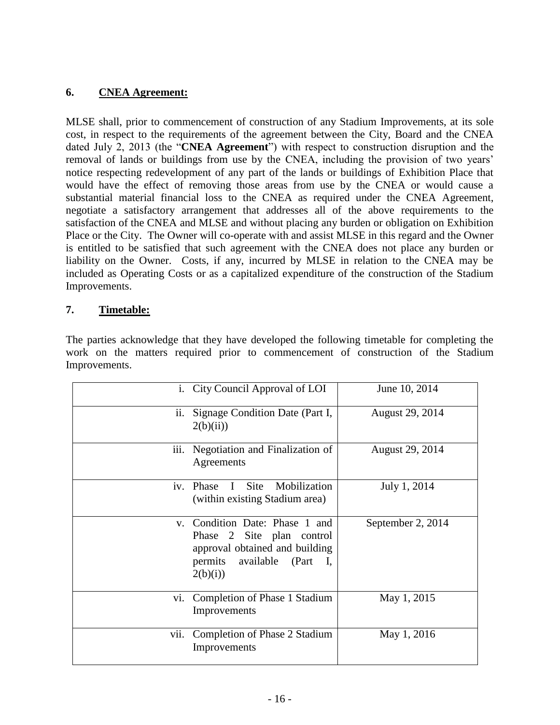# **6. CNEA Agreement:**

MLSE shall, prior to commencement of construction of any Stadium Improvements, at its sole cost, in respect to the requirements of the agreement between the City, Board and the CNEA dated July 2, 2013 (the "**CNEA Agreement**") with respect to construction disruption and the removal of lands or buildings from use by the CNEA, including the provision of two years' notice respecting redevelopment of any part of the lands or buildings of Exhibition Place that would have the effect of removing those areas from use by the CNEA or would cause a substantial material financial loss to the CNEA as required under the CNEA Agreement, negotiate a satisfactory arrangement that addresses all of the above requirements to the satisfaction of the CNEA and MLSE and without placing any burden or obligation on Exhibition Place or the City. The Owner will co-operate with and assist MLSE in this regard and the Owner is entitled to be satisfied that such agreement with the CNEA does not place any burden or liability on the Owner. Costs, if any, incurred by MLSE in relation to the CNEA may be included as Operating Costs or as a capitalized expenditure of the construction of the Stadium Improvements.

# **7. Timetable:**

The parties acknowledge that they have developed the following timetable for completing the work on the matters required prior to commencement of construction of the Stadium Improvements.

|      | i. City Council Approval of LOI                                                                                                                        | June 10, 2014     |
|------|--------------------------------------------------------------------------------------------------------------------------------------------------------|-------------------|
| ii.  | Signage Condition Date (Part I,<br>2(b)(ii))                                                                                                           | August 29, 2014   |
| iii. | Negotiation and Finalization of<br>Agreements                                                                                                          | August 29, 2014   |
|      | iv. Phase I Site Mobilization<br>(within existing Stadium area)                                                                                        | July 1, 2014      |
|      | v. Condition Date: Phase 1 and<br>Phase 2 Site plan control<br>approval obtained and building<br>permits available (Part<br>$\blacksquare$<br>2(b)(i)) | September 2, 2014 |
| Vİ.  | Completion of Phase 1 Stadium<br>Improvements                                                                                                          | May 1, 2015       |
| V11. | Completion of Phase 2 Stadium<br>Improvements                                                                                                          | May 1, 2016       |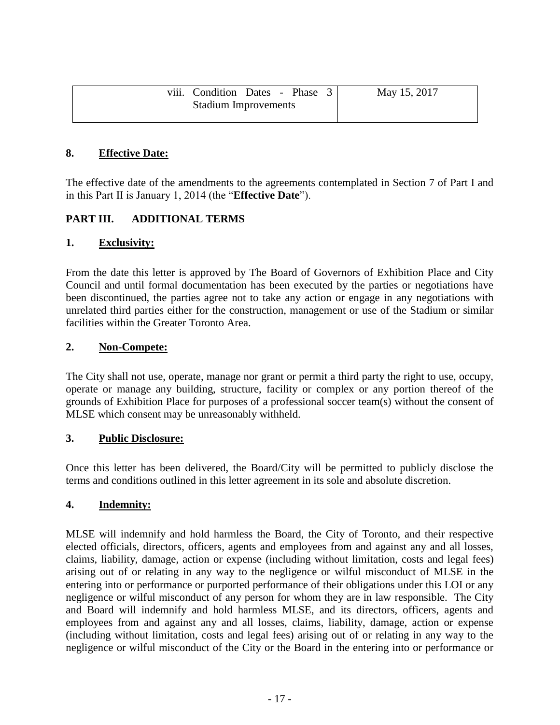|                             | viii. Condition Dates - Phase 3 |  |  |  | May 15, 2017 |
|-----------------------------|---------------------------------|--|--|--|--------------|
| <b>Stadium Improvements</b> |                                 |  |  |  |              |

### **8. Effective Date:**

The effective date of the amendments to the agreements contemplated in Section 7 of Part I and in this Part II is January 1, 2014 (the "**Effective Date**").

# **PART III. ADDITIONAL TERMS**

#### **1. Exclusivity:**

From the date this letter is approved by The Board of Governors of Exhibition Place and City Council and until formal documentation has been executed by the parties or negotiations have been discontinued, the parties agree not to take any action or engage in any negotiations with unrelated third parties either for the construction, management or use of the Stadium or similar facilities within the Greater Toronto Area.

#### **2. Non-Compete:**

The City shall not use, operate, manage nor grant or permit a third party the right to use, occupy, operate or manage any building, structure, facility or complex or any portion thereof of the grounds of Exhibition Place for purposes of a professional soccer team(s) without the consent of MLSE which consent may be unreasonably withheld.

#### **3. Public Disclosure:**

Once this letter has been delivered, the Board/City will be permitted to publicly disclose the terms and conditions outlined in this letter agreement in its sole and absolute discretion.

#### **4. Indemnity:**

MLSE will indemnify and hold harmless the Board, the City of Toronto, and their respective elected officials, directors, officers, agents and employees from and against any and all losses, claims, liability, damage, action or expense (including without limitation, costs and legal fees) arising out of or relating in any way to the negligence or wilful misconduct of MLSE in the entering into or performance or purported performance of their obligations under this LOI or any negligence or wilful misconduct of any person for whom they are in law responsible. The City and Board will indemnify and hold harmless MLSE, and its directors, officers, agents and employees from and against any and all losses, claims, liability, damage, action or expense (including without limitation, costs and legal fees) arising out of or relating in any way to the negligence or wilful misconduct of the City or the Board in the entering into or performance or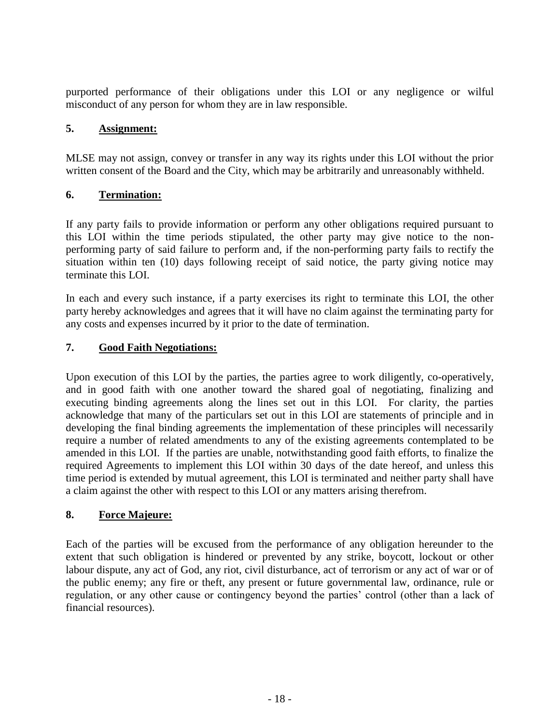purported performance of their obligations under this LOI or any negligence or wilful misconduct of any person for whom they are in law responsible.

# **5. Assignment:**

MLSE may not assign, convey or transfer in any way its rights under this LOI without the prior written consent of the Board and the City, which may be arbitrarily and unreasonably withheld.

# **6. Termination:**

If any party fails to provide information or perform any other obligations required pursuant to this LOI within the time periods stipulated, the other party may give notice to the nonperforming party of said failure to perform and, if the non-performing party fails to rectify the situation within ten (10) days following receipt of said notice, the party giving notice may terminate this LOI.

In each and every such instance, if a party exercises its right to terminate this LOI, the other party hereby acknowledges and agrees that it will have no claim against the terminating party for any costs and expenses incurred by it prior to the date of termination.

# **7. Good Faith Negotiations:**

Upon execution of this LOI by the parties, the parties agree to work diligently, co-operatively, and in good faith with one another toward the shared goal of negotiating, finalizing and executing binding agreements along the lines set out in this LOI. For clarity, the parties acknowledge that many of the particulars set out in this LOI are statements of principle and in developing the final binding agreements the implementation of these principles will necessarily require a number of related amendments to any of the existing agreements contemplated to be amended in this LOI. If the parties are unable, notwithstanding good faith efforts, to finalize the required Agreements to implement this LOI within 30 days of the date hereof, and unless this time period is extended by mutual agreement, this LOI is terminated and neither party shall have a claim against the other with respect to this LOI or any matters arising therefrom.

# **8. Force Majeure:**

Each of the parties will be excused from the performance of any obligation hereunder to the extent that such obligation is hindered or prevented by any strike, boycott, lockout or other labour dispute, any act of God, any riot, civil disturbance, act of terrorism or any act of war or of the public enemy; any fire or theft, any present or future governmental law, ordinance, rule or regulation, or any other cause or contingency beyond the parties' control (other than a lack of financial resources).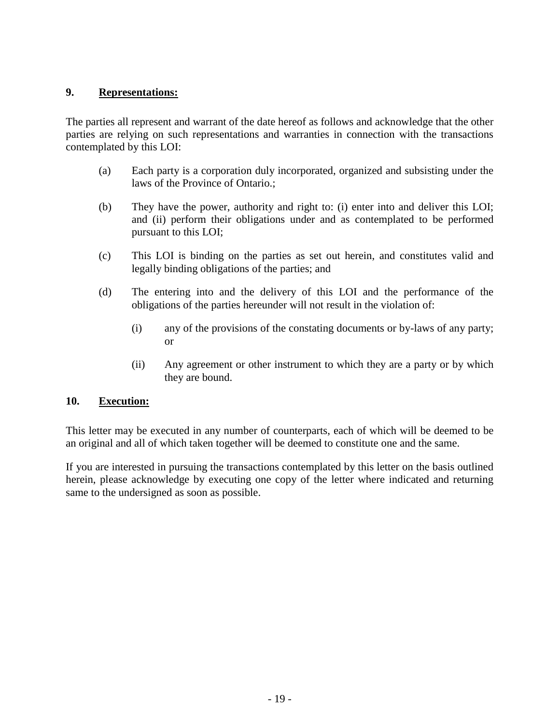### **9. Representations:**

The parties all represent and warrant of the date hereof as follows and acknowledge that the other parties are relying on such representations and warranties in connection with the transactions contemplated by this LOI:

- (a) Each party is a corporation duly incorporated, organized and subsisting under the laws of the Province of Ontario.;
- (b) They have the power, authority and right to: (i) enter into and deliver this LOI; and (ii) perform their obligations under and as contemplated to be performed pursuant to this LOI;
- (c) This LOI is binding on the parties as set out herein, and constitutes valid and legally binding obligations of the parties; and
- (d) The entering into and the delivery of this LOI and the performance of the obligations of the parties hereunder will not result in the violation of:
	- (i) any of the provisions of the constating documents or by-laws of any party; or
	- (ii) Any agreement or other instrument to which they are a party or by which they are bound.

#### **10. Execution:**

This letter may be executed in any number of counterparts, each of which will be deemed to be an original and all of which taken together will be deemed to constitute one and the same.

If you are interested in pursuing the transactions contemplated by this letter on the basis outlined herein, please acknowledge by executing one copy of the letter where indicated and returning same to the undersigned as soon as possible.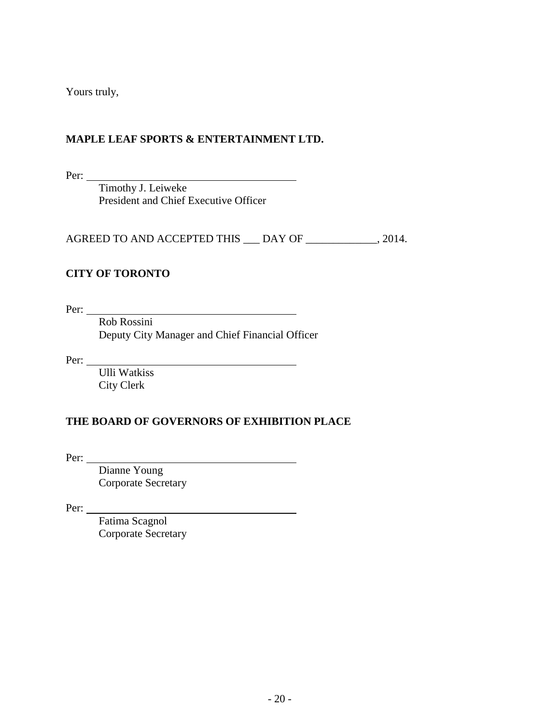Yours truly,

# **MAPLE LEAF SPORTS & ENTERTAINMENT LTD.**

Per:

Timothy J. Leiweke President and Chief Executive Officer

AGREED TO AND ACCEPTED THIS \_\_\_ DAY OF \_\_\_\_\_\_\_\_\_\_\_\_, 2014.

# **CITY OF TORONTO**

Per:

Rob Rossini Deputy City Manager and Chief Financial Officer

<u> 1980 - Johann Barbara, martin a</u>

Per:

Ulli Watkiss City Clerk

# **THE BOARD OF GOVERNORS OF EXHIBITION PLACE**

Per:

Dianne Young Corporate Secretary

Per:

Fatima Scagnol Corporate Secretary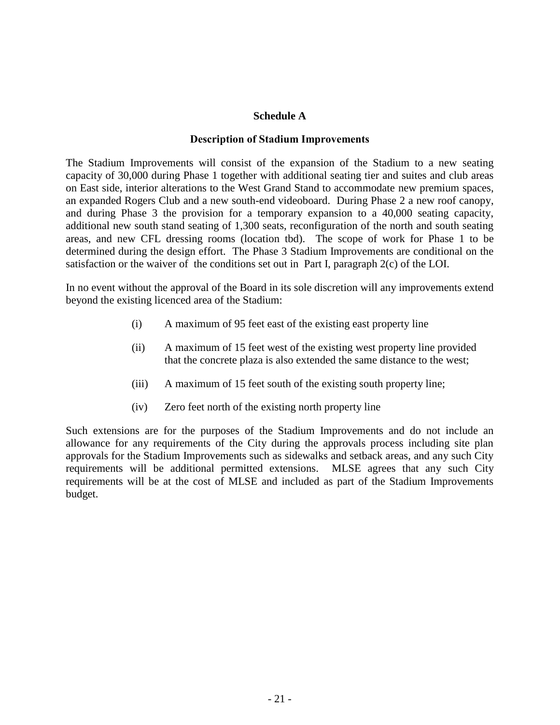#### **Schedule A**

#### **Description of Stadium Improvements**

The Stadium Improvements will consist of the expansion of the Stadium to a new seating capacity of 30,000 during Phase 1 together with additional seating tier and suites and club areas on East side, interior alterations to the West Grand Stand to accommodate new premium spaces, an expanded Rogers Club and a new south-end videoboard. During Phase 2 a new roof canopy, and during Phase 3 the provision for a temporary expansion to a 40,000 seating capacity, additional new south stand seating of 1,300 seats, reconfiguration of the north and south seating areas, and new CFL dressing rooms (location tbd). The scope of work for Phase 1 to be determined during the design effort. The Phase 3 Stadium Improvements are conditional on the satisfaction or the waiver of the conditions set out in Part I, paragraph 2(c) of the LOI.

In no event without the approval of the Board in its sole discretion will any improvements extend beyond the existing licenced area of the Stadium:

- (i) A maximum of 95 feet east of the existing east property line
- (ii) A maximum of 15 feet west of the existing west property line provided that the concrete plaza is also extended the same distance to the west;
- (iii) A maximum of 15 feet south of the existing south property line;
- (iv) Zero feet north of the existing north property line

Such extensions are for the purposes of the Stadium Improvements and do not include an allowance for any requirements of the City during the approvals process including site plan approvals for the Stadium Improvements such as sidewalks and setback areas, and any such City requirements will be additional permitted extensions. MLSE agrees that any such City requirements will be at the cost of MLSE and included as part of the Stadium Improvements budget.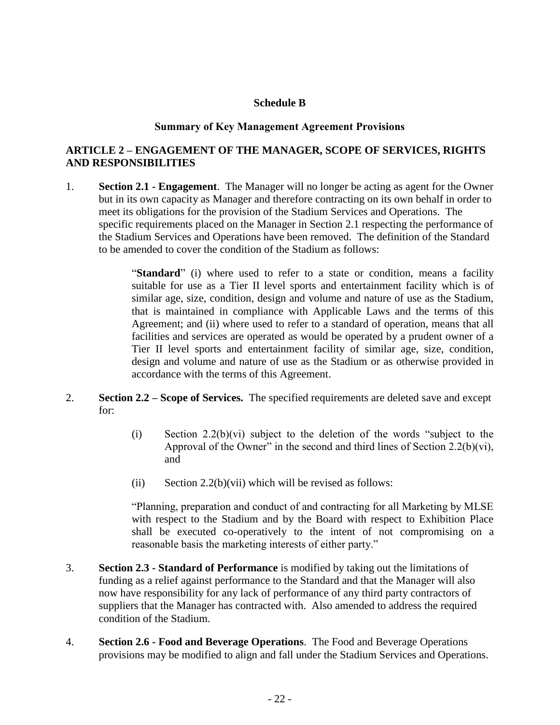#### **Schedule B**

#### **Summary of Key Management Agreement Provisions**

# **ARTICLE 2 – ENGAGEMENT OF THE MANAGER, SCOPE OF SERVICES, RIGHTS AND RESPONSIBILITIES**

1. **Section 2.1 - Engagement**. The Manager will no longer be acting as agent for the Owner but in its own capacity as Manager and therefore contracting on its own behalf in order to meet its obligations for the provision of the Stadium Services and Operations. The specific requirements placed on the Manager in Section 2.1 respecting the performance of the Stadium Services and Operations have been removed. The definition of the Standard to be amended to cover the condition of the Stadium as follows:

> "**Standard**" (i) where used to refer to a state or condition, means a facility suitable for use as a Tier II level sports and entertainment facility which is of similar age, size, condition, design and volume and nature of use as the Stadium, that is maintained in compliance with Applicable Laws and the terms of this Agreement; and (ii) where used to refer to a standard of operation, means that all facilities and services are operated as would be operated by a prudent owner of a Tier II level sports and entertainment facility of similar age, size, condition, design and volume and nature of use as the Stadium or as otherwise provided in accordance with the terms of this Agreement.

- 2. **Section 2.2 – Scope of Services.** The specified requirements are deleted save and except for:
	- (i) Section  $2.2(b)(vi)$  subject to the deletion of the words "subject to the Approval of the Owner" in the second and third lines of Section 2.2(b)(vi), and
	- (ii) Section 2.2(b)(vii) which will be revised as follows:

"Planning, preparation and conduct of and contracting for all Marketing by MLSE with respect to the Stadium and by the Board with respect to Exhibition Place shall be executed co-operatively to the intent of not compromising on a reasonable basis the marketing interests of either party."

- 3. **Section 2.3 - Standard of Performance** is modified by taking out the limitations of funding as a relief against performance to the Standard and that the Manager will also now have responsibility for any lack of performance of any third party contractors of suppliers that the Manager has contracted with. Also amended to address the required condition of the Stadium.
- 4. **Section 2.6 - Food and Beverage Operations**. The Food and Beverage Operations provisions may be modified to align and fall under the Stadium Services and Operations.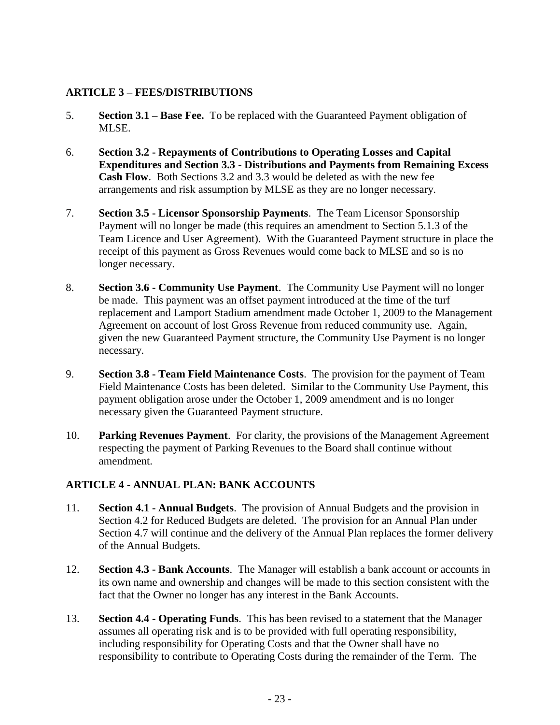# **ARTICLE 3 – FEES/DISTRIBUTIONS**

- 5. **Section 3.1 – Base Fee.** To be replaced with the Guaranteed Payment obligation of MLSE.
- 6. **Section 3.2 - Repayments of Contributions to Operating Losses and Capital Expenditures and Section 3.3 - Distributions and Payments from Remaining Excess Cash Flow**. Both Sections 3.2 and 3.3 would be deleted as with the new fee arrangements and risk assumption by MLSE as they are no longer necessary.
- 7. **Section 3.5 - Licensor Sponsorship Payments**. The Team Licensor Sponsorship Payment will no longer be made (this requires an amendment to Section 5.1.3 of the Team Licence and User Agreement). With the Guaranteed Payment structure in place the receipt of this payment as Gross Revenues would come back to MLSE and so is no longer necessary.
- 8. **Section 3.6 - Community Use Payment**. The Community Use Payment will no longer be made. This payment was an offset payment introduced at the time of the turf replacement and Lamport Stadium amendment made October 1, 2009 to the Management Agreement on account of lost Gross Revenue from reduced community use. Again, given the new Guaranteed Payment structure, the Community Use Payment is no longer necessary.
- 9. **Section 3.8 - Team Field Maintenance Costs**. The provision for the payment of Team Field Maintenance Costs has been deleted. Similar to the Community Use Payment, this payment obligation arose under the October 1, 2009 amendment and is no longer necessary given the Guaranteed Payment structure.
- 10. **Parking Revenues Payment**. For clarity, the provisions of the Management Agreement respecting the payment of Parking Revenues to the Board shall continue without amendment.

# **ARTICLE 4 - ANNUAL PLAN: BANK ACCOUNTS**

- 11. **Section 4.1 - Annual Budgets**. The provision of Annual Budgets and the provision in Section 4.2 for Reduced Budgets are deleted. The provision for an Annual Plan under Section 4.7 will continue and the delivery of the Annual Plan replaces the former delivery of the Annual Budgets.
- 12. **Section 4.3 - Bank Accounts**. The Manager will establish a bank account or accounts in its own name and ownership and changes will be made to this section consistent with the fact that the Owner no longer has any interest in the Bank Accounts.
- 13. **Section 4.4 - Operating Funds**. This has been revised to a statement that the Manager assumes all operating risk and is to be provided with full operating responsibility, including responsibility for Operating Costs and that the Owner shall have no responsibility to contribute to Operating Costs during the remainder of the Term. The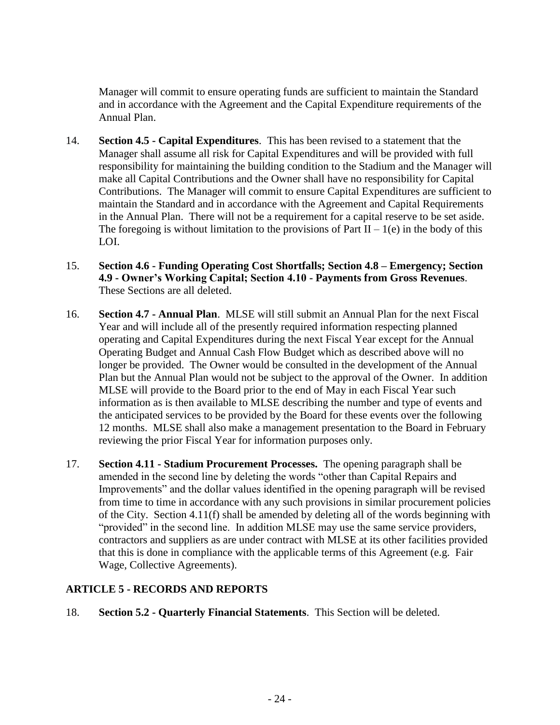Manager will commit to ensure operating funds are sufficient to maintain the Standard and in accordance with the Agreement and the Capital Expenditure requirements of the Annual Plan.

- 14. **Section 4.5 - Capital Expenditures**. This has been revised to a statement that the Manager shall assume all risk for Capital Expenditures and will be provided with full responsibility for maintaining the building condition to the Stadium and the Manager will make all Capital Contributions and the Owner shall have no responsibility for Capital Contributions. The Manager will commit to ensure Capital Expenditures are sufficient to maintain the Standard and in accordance with the Agreement and Capital Requirements in the Annual Plan. There will not be a requirement for a capital reserve to be set aside. The foregoing is without limitation to the provisions of Part II – 1(e) in the body of this LOI.
- 15. **Section 4.6 - Funding Operating Cost Shortfalls; Section 4.8 – Emergency; Section 4.9 - Owner's Working Capital; Section 4.10 - Payments from Gross Revenues**. These Sections are all deleted.
- 16. **Section 4.7 - Annual Plan**. MLSE will still submit an Annual Plan for the next Fiscal Year and will include all of the presently required information respecting planned operating and Capital Expenditures during the next Fiscal Year except for the Annual Operating Budget and Annual Cash Flow Budget which as described above will no longer be provided. The Owner would be consulted in the development of the Annual Plan but the Annual Plan would not be subject to the approval of the Owner. In addition MLSE will provide to the Board prior to the end of May in each Fiscal Year such information as is then available to MLSE describing the number and type of events and the anticipated services to be provided by the Board for these events over the following 12 months. MLSE shall also make a management presentation to the Board in February reviewing the prior Fiscal Year for information purposes only.
- 17. **Section 4.11 - Stadium Procurement Processes.** The opening paragraph shall be amended in the second line by deleting the words "other than Capital Repairs and Improvements" and the dollar values identified in the opening paragraph will be revised from time to time in accordance with any such provisions in similar procurement policies of the City. Section 4.11(f) shall be amended by deleting all of the words beginning with "provided" in the second line. In addition MLSE may use the same service providers, contractors and suppliers as are under contract with MLSE at its other facilities provided that this is done in compliance with the applicable terms of this Agreement (e.g. Fair Wage, Collective Agreements).

# **ARTICLE 5 - RECORDS AND REPORTS**

18. **Section 5.2 - Quarterly Financial Statements**. This Section will be deleted.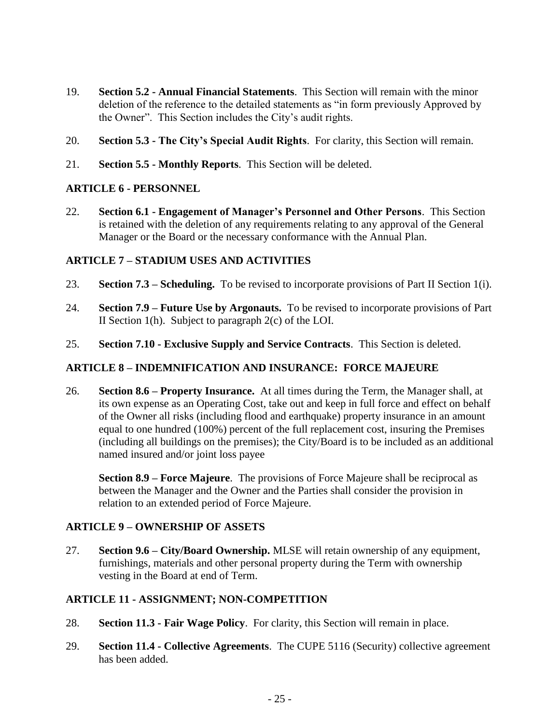- 19. **Section 5.2 - Annual Financial Statements**. This Section will remain with the minor deletion of the reference to the detailed statements as "in form previously Approved by the Owner". This Section includes the City's audit rights.
- 20. **Section 5.3 - The City's Special Audit Rights**. For clarity, this Section will remain.
- 21. **Section 5.5 - Monthly Reports**. This Section will be deleted.

# **ARTICLE 6 - PERSONNEL**

22. **Section 6.1 - Engagement of Manager's Personnel and Other Persons**. This Section is retained with the deletion of any requirements relating to any approval of the General Manager or the Board or the necessary conformance with the Annual Plan.

### **ARTICLE 7 – STADIUM USES AND ACTIVITIES**

- 23. **Section 7.3 – Scheduling.** To be revised to incorporate provisions of Part II Section 1(i).
- 24. **Section 7.9 – Future Use by Argonauts.** To be revised to incorporate provisions of Part II Section 1(h). Subject to paragraph 2(c) of the LOI.
- 25. **Section 7.10 - Exclusive Supply and Service Contracts**. This Section is deleted.

# **ARTICLE 8 – INDEMNIFICATION AND INSURANCE: FORCE MAJEURE**

26. **Section 8.6 – Property Insurance.** At all times during the Term, the Manager shall, at its own expense as an Operating Cost, take out and keep in full force and effect on behalf of the Owner all risks (including flood and earthquake) property insurance in an amount equal to one hundred (100%) percent of the full replacement cost, insuring the Premises (including all buildings on the premises); the City/Board is to be included as an additional named insured and/or joint loss payee

**Section 8.9 – Force Majeure**. The provisions of Force Majeure shall be reciprocal as between the Manager and the Owner and the Parties shall consider the provision in relation to an extended period of Force Majeure.

#### **ARTICLE 9 – OWNERSHIP OF ASSETS**

27. **Section 9.6 – City/Board Ownership.** MLSE will retain ownership of any equipment, furnishings, materials and other personal property during the Term with ownership vesting in the Board at end of Term.

# **ARTICLE 11 - ASSIGNMENT; NON-COMPETITION**

- 28. **Section 11.3 - Fair Wage Policy**. For clarity, this Section will remain in place.
- 29. **Section 11.4 - Collective Agreements**. The CUPE 5116 (Security) collective agreement has been added.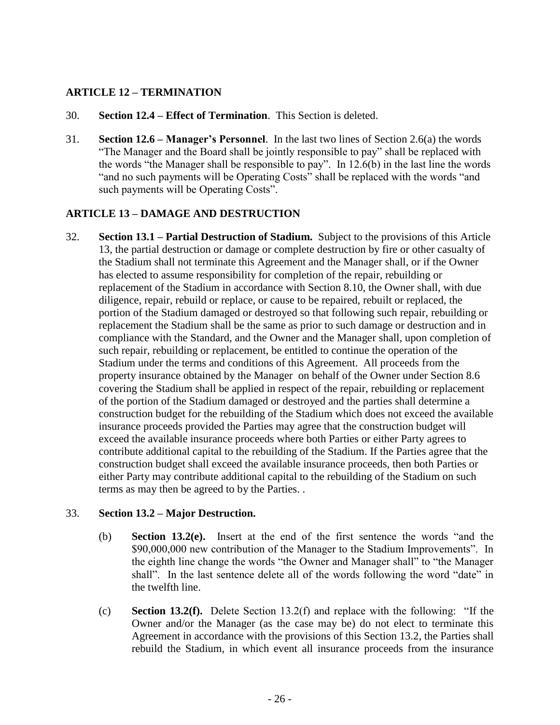### **ARTICLE 12 – TERMINATION**

- 30. **Section 12.4 – Effect of Termination**. This Section is deleted.
- 31. **Section 12.6 – Manager's Personnel**. In the last two lines of Section 2.6(a) the words "The Manager and the Board shall be jointly responsible to pay" shall be replaced with the words "the Manager shall be responsible to pay". In 12.6(b) in the last line the words "and no such payments will be Operating Costs" shall be replaced with the words "and such payments will be Operating Costs".

#### **ARTICLE 13 – DAMAGE AND DESTRUCTION**

32. **Section 13.1 – Partial Destruction of Stadium.** Subject to the provisions of this Article 13, the partial destruction or damage or complete destruction by fire or other casualty of the Stadium shall not terminate this Agreement and the Manager shall, or if the Owner has elected to assume responsibility for completion of the repair, rebuilding or replacement of the Stadium in accordance with Section 8.10, the Owner shall, with due diligence, repair, rebuild or replace, or cause to be repaired, rebuilt or replaced, the portion of the Stadium damaged or destroyed so that following such repair, rebuilding or replacement the Stadium shall be the same as prior to such damage or destruction and in compliance with the Standard, and the Owner and the Manager shall, upon completion of such repair, rebuilding or replacement, be entitled to continue the operation of the Stadium under the terms and conditions of this Agreement. All proceeds from the property insurance obtained by the Manager on behalf of the Owner under Section 8.6 covering the Stadium shall be applied in respect of the repair, rebuilding or replacement of the portion of the Stadium damaged or destroyed and the parties shall determine a construction budget for the rebuilding of the Stadium which does not exceed the available insurance proceeds provided the Parties may agree that the construction budget will exceed the available insurance proceeds where both Parties or either Party agrees to contribute additional capital to the rebuilding of the Stadium. If the Parties agree that the construction budget shall exceed the available insurance proceeds, then both Parties or either Party may contribute additional capital to the rebuilding of the Stadium on such terms as may then be agreed to by the Parties. .

#### 33. **Section 13.2 – Major Destruction.**

- (b) **Section 13.2(e).** Insert at the end of the first sentence the words "and the \$90,000,000 new contribution of the Manager to the Stadium Improvements". In the eighth line change the words "the Owner and Manager shall" to "the Manager shall". In the last sentence delete all of the words following the word "date" in the twelfth line.
- (c) **Section 13.2(f).** Delete Section 13.2(f) and replace with the following: "If the Owner and/or the Manager (as the case may be) do not elect to terminate this Agreement in accordance with the provisions of this Section 13.2, the Parties shall rebuild the Stadium, in which event all insurance proceeds from the insurance